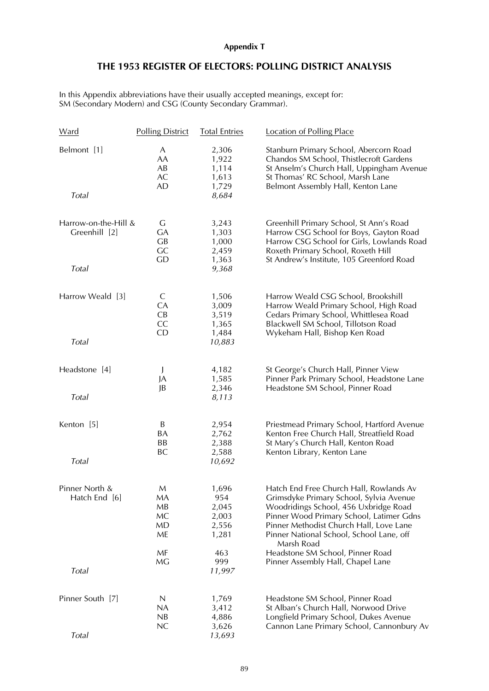## **Appendix T**

## **THE 1953 REGISTER OF ELECTORS: POLLING DISTRICT ANALYSIS**

In this Appendix abbreviations have their usually accepted meanings, except for: SM (Secondary Modern) and CSG (County Secondary Grammar).

| Ward                                  | <b>Polling District</b>          | <b>Total Entries</b>                             | <b>Location of Polling Place</b>                                                                                                                                                                                                                                             |
|---------------------------------------|----------------------------------|--------------------------------------------------|------------------------------------------------------------------------------------------------------------------------------------------------------------------------------------------------------------------------------------------------------------------------------|
| Belmont [1]                           | A<br>AA<br>AB<br>AC<br><b>AD</b> | 2,306<br>1,922<br>1,114<br>1,613<br>1,729        | Stanburn Primary School, Abercorn Road<br>Chandos SM School, Thistlecroft Gardens<br>St Anselm's Church Hall, Uppingham Avenue<br>St Thomas' RC School, Marsh Lane<br>Belmont Assembly Hall, Kenton Lane                                                                     |
| Total                                 |                                  | 8,684                                            |                                                                                                                                                                                                                                                                              |
| Harrow-on-the-Hill &<br>Greenhill [2] | G<br><b>GA</b><br>GB<br>GC<br>GD | 3,243<br>1,303<br>1,000<br>2,459<br>1,363        | Greenhill Primary School, St Ann's Road<br>Harrow CSG School for Boys, Gayton Road<br>Harrow CSG School for Girls, Lowlands Road<br>Roxeth Primary School, Roxeth Hill<br>St Andrew's Institute, 105 Greenford Road                                                          |
| Total                                 |                                  | 9,368                                            |                                                                                                                                                                                                                                                                              |
| Harrow Weald [3]                      | C<br>CA<br>CB<br>CC<br>CD        | 1,506<br>3,009<br>3,519<br>1,365<br>1,484        | Harrow Weald CSG School, Brookshill<br>Harrow Weald Primary School, High Road<br>Cedars Primary School, Whittlesea Road<br>Blackwell SM School, Tillotson Road<br>Wykeham Hall, Bishop Ken Road                                                                              |
| Total                                 |                                  | 10,883                                           |                                                                                                                                                                                                                                                                              |
| Headstone [4]                         | J<br>JA<br>JB                    | 4,182<br>1,585<br>2,346                          | St George's Church Hall, Pinner View<br>Pinner Park Primary School, Headstone Lane<br>Headstone SM School, Pinner Road                                                                                                                                                       |
| Total                                 |                                  | 8,113                                            |                                                                                                                                                                                                                                                                              |
| Kenton [5]                            | B<br>BA<br>BB<br><b>BC</b>       | 2,954<br>2,762<br>2,388<br>2,588                 | Priestmead Primary School, Hartford Avenue<br>Kenton Free Church Hall, Streatfield Road<br>St Mary's Church Hall, Kenton Road<br>Kenton Library, Kenton Lane                                                                                                                 |
| Total                                 |                                  | 10,692                                           |                                                                                                                                                                                                                                                                              |
| Pinner North &<br>Hatch End [6]       | M<br>МA<br>MB<br>MC<br>MD<br>ME  | 1,696<br>954<br>2,045<br>2,003<br>2,556<br>1,281 | Hatch End Free Church Hall, Rowlands Av<br>Grimsdyke Primary School, Sylvia Avenue<br>Woodridings School, 456 Uxbridge Road<br>Pinner Wood Primary School, Latimer Gdns<br>Pinner Methodist Church Hall, Love Lane<br>Pinner National School, School Lane, off<br>Marsh Road |
| Total                                 | MF<br>MG                         | 463<br>999<br>11,997                             | Headstone SM School, Pinner Road<br>Pinner Assembly Hall, Chapel Lane                                                                                                                                                                                                        |
| Pinner South [7]                      | $\mathsf N$<br>NA<br>NB          | 1,769<br>3,412<br>4,886                          | Headstone SM School, Pinner Road<br>St Alban's Church Hall, Norwood Drive<br>Longfield Primary School, Dukes Avenue                                                                                                                                                          |
| Total                                 | NC                               | 3,626<br>13,693                                  | Cannon Lane Primary School, Cannonbury Av                                                                                                                                                                                                                                    |